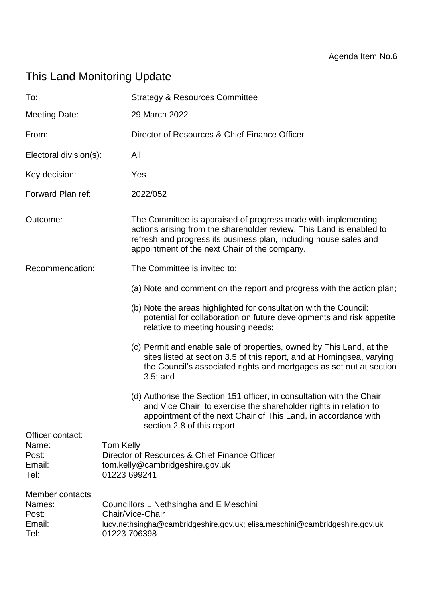# This Land Monitoring Update

| To:                                                   | <b>Strategy &amp; Resources Committee</b>                                                                                                                                                                                                                   |  |  |
|-------------------------------------------------------|-------------------------------------------------------------------------------------------------------------------------------------------------------------------------------------------------------------------------------------------------------------|--|--|
| Meeting Date:                                         | 29 March 2022                                                                                                                                                                                                                                               |  |  |
| From:                                                 | Director of Resources & Chief Finance Officer                                                                                                                                                                                                               |  |  |
| Electoral division(s):                                | All                                                                                                                                                                                                                                                         |  |  |
| Key decision:                                         | Yes                                                                                                                                                                                                                                                         |  |  |
| Forward Plan ref:                                     | 2022/052                                                                                                                                                                                                                                                    |  |  |
| Outcome:                                              | The Committee is appraised of progress made with implementing<br>actions arising from the shareholder review. This Land is enabled to<br>refresh and progress its business plan, including house sales and<br>appointment of the next Chair of the company. |  |  |
| Recommendation:                                       | The Committee is invited to:                                                                                                                                                                                                                                |  |  |
|                                                       | (a) Note and comment on the report and progress with the action plan;                                                                                                                                                                                       |  |  |
|                                                       | (b) Note the areas highlighted for consultation with the Council:<br>potential for collaboration on future developments and risk appetite<br>relative to meeting housing needs;                                                                             |  |  |
|                                                       | (c) Permit and enable sale of properties, owned by This Land, at the<br>sites listed at section 3.5 of this report, and at Horningsea, varying<br>the Council's associated rights and mortgages as set out at section<br>$3.5$ ; and                        |  |  |
|                                                       | (d) Authorise the Section 151 officer, in consultation with the Chair<br>and Vice Chair, to exercise the shareholder rights in relation to<br>appointment of the next Chair of This Land, in accordance with<br>section 2.8 of this report.                 |  |  |
| Officer contact:<br>Name:<br>Post:<br>Email:<br>Tel:  | Tom Kelly<br>Director of Resources & Chief Finance Officer<br>tom.kelly@cambridgeshire.gov.uk<br>01223 699241                                                                                                                                               |  |  |
| Member contacts:<br>Names:<br>Post:<br>Email:<br>Tel: | Councillors L Nethsingha and E Meschini<br>Chair/Vice-Chair<br>lucy.nethsingha@cambridgeshire.gov.uk; elisa.meschini@cambridgeshire.gov.uk<br>01223 706398                                                                                                  |  |  |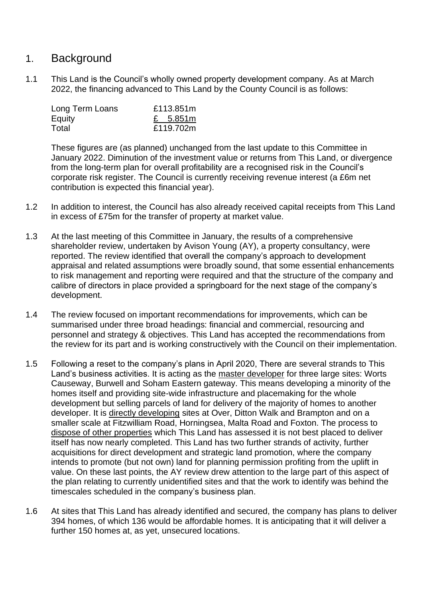### 1. Background

1.1 This Land is the Council's wholly owned property development company. As at March 2022, the financing advanced to This Land by the County Council is as follows:

| Long Term Loans | £113.851m |  |
|-----------------|-----------|--|
| Equity          | £ 5.851m  |  |
| Total           | £119.702m |  |

These figures are (as planned) unchanged from the last update to this Committee in January 2022. Diminution of the investment value or returns from This Land, or divergence from the long-term plan for overall profitability are a recognised risk in the Council's corporate risk register. The Council is currently receiving revenue interest (a £6m net contribution is expected this financial year).

- 1.2 In addition to interest, the Council has also already received capital receipts from This Land in excess of £75m for the transfer of property at market value.
- 1.3 At the last meeting of this Committee in January, the results of a comprehensive shareholder review, undertaken by Avison Young (AY), a property consultancy, were reported. The review identified that overall the company's approach to development appraisal and related assumptions were broadly sound, that some essential enhancements to risk management and reporting were required and that the structure of the company and calibre of directors in place provided a springboard for the next stage of the company's development.
- 1.4 The review focused on important recommendations for improvements, which can be summarised under three broad headings: financial and commercial, resourcing and personnel and strategy & objectives. This Land has accepted the recommendations from the review for its part and is working constructively with the Council on their implementation.
- 1.5 Following a reset to the company's plans in April 2020, There are several strands to This Land's business activities. It is acting as the master developer for three large sites: Worts Causeway, Burwell and Soham Eastern gateway. This means developing a minority of the homes itself and providing site-wide infrastructure and placemaking for the whole development but selling parcels of land for delivery of the majority of homes to another developer. It is directly developing sites at Over, Ditton Walk and Brampton and on a smaller scale at Fitzwilliam Road, Horningsea, Malta Road and Foxton. The process to dispose of other properties which This Land has assessed it is not best placed to deliver itself has now nearly completed. This Land has two further strands of activity, further acquisitions for direct development and strategic land promotion, where the company intends to promote (but not own) land for planning permission profiting from the uplift in value. On these last points, the AY review drew attention to the large part of this aspect of the plan relating to currently unidentified sites and that the work to identify was behind the timescales scheduled in the company's business plan.
- 1.6 At sites that This Land has already identified and secured, the company has plans to deliver 394 homes, of which 136 would be affordable homes. It is anticipating that it will deliver a further 150 homes at, as yet, unsecured locations.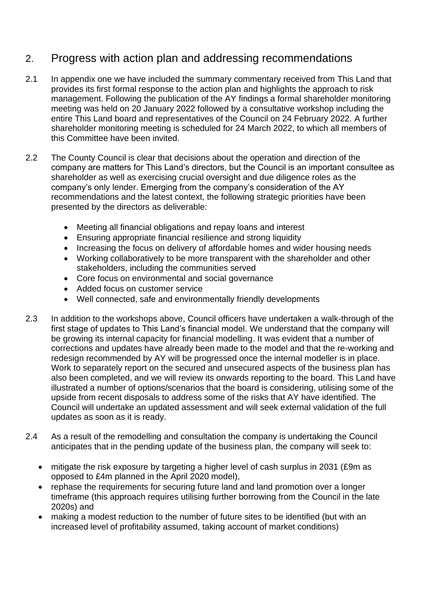## 2. Progress with action plan and addressing recommendations

- 2.1 In appendix one we have included the summary commentary received from This Land that provides its first formal response to the action plan and highlights the approach to risk management. Following the publication of the AY findings a formal shareholder monitoring meeting was held on 20 January 2022 followed by a consultative workshop including the entire This Land board and representatives of the Council on 24 February 2022. A further shareholder monitoring meeting is scheduled for 24 March 2022, to which all members of this Committee have been invited.
- 2.2 The County Council is clear that decisions about the operation and direction of the company are matters for This Land's directors, but the Council is an important consultee as shareholder as well as exercising crucial oversight and due diligence roles as the company's only lender. Emerging from the company's consideration of the AY recommendations and the latest context, the following strategic priorities have been presented by the directors as deliverable:
	- Meeting all financial obligations and repay loans and interest
	- Ensuring appropriate financial resilience and strong liquidity
	- Increasing the focus on delivery of affordable homes and wider housing needs
	- Working collaboratively to be more transparent with the shareholder and other stakeholders, including the communities served
	- Core focus on environmental and social governance
	- Added focus on customer service
	- Well connected, safe and environmentally friendly developments
- 2.3 In addition to the workshops above, Council officers have undertaken a walk-through of the first stage of updates to This Land's financial model. We understand that the company will be growing its internal capacity for financial modelling. It was evident that a number of corrections and updates have already been made to the model and that the re-working and redesign recommended by AY will be progressed once the internal modeller is in place. Work to separately report on the secured and unsecured aspects of the business plan has also been completed, and we will review its onwards reporting to the board. This Land have illustrated a number of options/scenarios that the board is considering, utilising some of the upside from recent disposals to address some of the risks that AY have identified. The Council will undertake an updated assessment and will seek external validation of the full updates as soon as it is ready.
- 2.4 As a result of the remodelling and consultation the company is undertaking the Council anticipates that in the pending update of the business plan, the company will seek to:
	- mitigate the risk exposure by targeting a higher level of cash surplus in 2031 (£9m as opposed to £4m planned in the April 2020 model),
	- rephase the requirements for securing future land and land promotion over a longer timeframe (this approach requires utilising further borrowing from the Council in the late 2020s) and
	- making a modest reduction to the number of future sites to be identified (but with an increased level of profitability assumed, taking account of market conditions)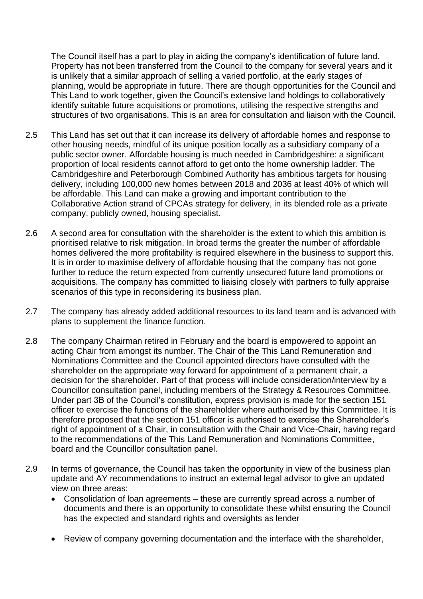The Council itself has a part to play in aiding the company's identification of future land. Property has not been transferred from the Council to the company for several years and it is unlikely that a similar approach of selling a varied portfolio, at the early stages of planning, would be appropriate in future. There are though opportunities for the Council and This Land to work together, given the Council's extensive land holdings to collaboratively identify suitable future acquisitions or promotions, utilising the respective strengths and structures of two organisations. This is an area for consultation and liaison with the Council.

- 2.5 This Land has set out that it can increase its delivery of affordable homes and response to other housing needs, mindful of its unique position locally as a subsidiary company of a public sector owner. Affordable housing is much needed in Cambridgeshire: a significant proportion of local residents cannot afford to get onto the home ownership ladder. The Cambridgeshire and Peterborough Combined Authority has ambitious targets for housing delivery, including 100,000 new homes between 2018 and 2036 at least 40% of which will be affordable. This Land can make a growing and important contribution to the Collaborative Action strand of CPCAs strategy for delivery, in its blended role as a private company, publicly owned, housing specialist.
- 2.6 A second area for consultation with the shareholder is the extent to which this ambition is prioritised relative to risk mitigation. In broad terms the greater the number of affordable homes delivered the more profitability is required elsewhere in the business to support this. It is in order to maximise delivery of affordable housing that the company has not gone further to reduce the return expected from currently unsecured future land promotions or acquisitions. The company has committed to liaising closely with partners to fully appraise scenarios of this type in reconsidering its business plan.
- 2.7 The company has already added additional resources to its land team and is advanced with plans to supplement the finance function.
- 2.8 The company Chairman retired in February and the board is empowered to appoint an acting Chair from amongst its number. The Chair of the This Land Remuneration and Nominations Committee and the Council appointed directors have consulted with the shareholder on the appropriate way forward for appointment of a permanent chair, a decision for the shareholder. Part of that process will include consideration/interview by a Councillor consultation panel, including members of the Strategy & Resources Committee. Under part 3B of the Council's constitution, express provision is made for the section 151 officer to exercise the functions of the shareholder where authorised by this Committee. It is therefore proposed that the section 151 officer is authorised to exercise the Shareholder's right of appointment of a Chair, in consultation with the Chair and Vice-Chair, having regard to the recommendations of the This Land Remuneration and Nominations Committee, board and the Councillor consultation panel.
- 2.9 In terms of governance, the Council has taken the opportunity in view of the business plan update and AY recommendations to instruct an external legal advisor to give an updated view on three areas:
	- Consolidation of loan agreements these are currently spread across a number of documents and there is an opportunity to consolidate these whilst ensuring the Council has the expected and standard rights and oversights as lender
	- Review of company governing documentation and the interface with the shareholder,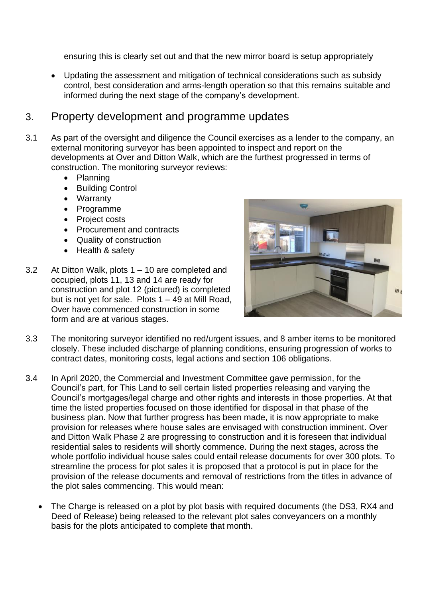ensuring this is clearly set out and that the new mirror board is setup appropriately

• Updating the assessment and mitigation of technical considerations such as subsidy control, best consideration and arms-length operation so that this remains suitable and informed during the next stage of the company's development.

### 3. Property development and programme updates

- 3.1 As part of the oversight and diligence the Council exercises as a lender to the company, an external monitoring surveyor has been appointed to inspect and report on the developments at Over and Ditton Walk, which are the furthest progressed in terms of construction. The monitoring surveyor reviews:
	- Planning
	- Building Control
	- Warranty
	- Programme
	- Project costs
	- Procurement and contracts
	- Quality of construction
	- Health & safety
- 3.2 At Ditton Walk, plots 1 10 are completed and occupied, plots 11, 13 and 14 are ready for construction and plot 12 (pictured) is completed but is not yet for sale. Plots  $1 - 49$  at Mill Road, Over have commenced construction in some form and are at various stages.



- 3.3 The monitoring surveyor identified no red/urgent issues, and 8 amber items to be monitored closely. These included discharge of planning conditions, ensuring progression of works to contract dates, monitoring costs, legal actions and section 106 obligations.
- 3.4 In April 2020, the Commercial and Investment Committee gave permission, for the Council's part, for This Land to sell certain listed properties releasing and varying the Council's mortgages/legal charge and other rights and interests in those properties. At that time the listed properties focused on those identified for disposal in that phase of the business plan. Now that further progress has been made, it is now appropriate to make provision for releases where house sales are envisaged with construction imminent. Over and Ditton Walk Phase 2 are progressing to construction and it is foreseen that individual residential sales to residents will shortly commence. During the next stages, across the whole portfolio individual house sales could entail release documents for over 300 plots. To streamline the process for plot sales it is proposed that a protocol is put in place for the provision of the release documents and removal of restrictions from the titles in advance of the plot sales commencing. This would mean:
	- The Charge is released on a plot by plot basis with required documents (the DS3, RX4 and Deed of Release) being released to the relevant plot sales conveyancers on a monthly basis for the plots anticipated to complete that month.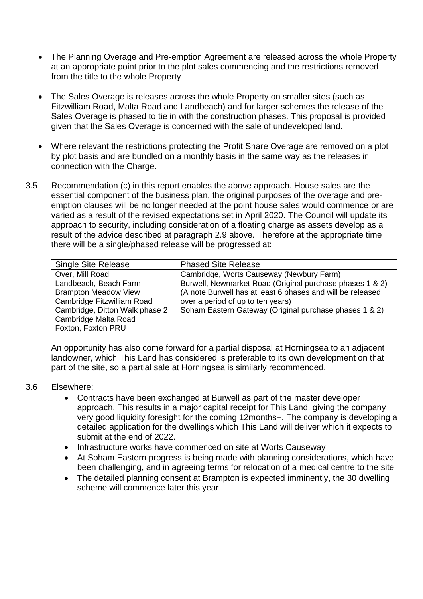- The Planning Overage and Pre-emption Agreement are released across the whole Property at an appropriate point prior to the plot sales commencing and the restrictions removed from the title to the whole Property
- The Sales Overage is releases across the whole Property on smaller sites (such as Fitzwilliam Road, Malta Road and Landbeach) and for larger schemes the release of the Sales Overage is phased to tie in with the construction phases. This proposal is provided given that the Sales Overage is concerned with the sale of undeveloped land.
- Where relevant the restrictions protecting the Profit Share Overage are removed on a plot by plot basis and are bundled on a monthly basis in the same way as the releases in connection with the Charge.
- 3.5 Recommendation (c) in this report enables the above approach. House sales are the essential component of the business plan, the original purposes of the overage and preemption clauses will be no longer needed at the point house sales would commence or are varied as a result of the revised expectations set in April 2020. The Council will update its approach to security, including consideration of a floating charge as assets develop as a result of the advice described at paragraph 2.9 above. Therefore at the appropriate time there will be a single/phased release will be progressed at:

| <b>Single Site Release</b>     | <b>Phased Site Release</b>                                 |  |  |  |
|--------------------------------|------------------------------------------------------------|--|--|--|
| Over, Mill Road                | Cambridge, Worts Causeway (Newbury Farm)                   |  |  |  |
| Landbeach, Beach Farm          | Burwell, Newmarket Road (Original purchase phases 1 & 2)-  |  |  |  |
| <b>Brampton Meadow View</b>    | (A note Burwell has at least 6 phases and will be released |  |  |  |
| Cambridge Fitzwilliam Road     | over a period of up to ten years)                          |  |  |  |
| Cambridge, Ditton Walk phase 2 | Soham Eastern Gateway (Original purchase phases 1 & 2)     |  |  |  |
| Cambridge Malta Road           |                                                            |  |  |  |
| Foxton, Foxton PRU             |                                                            |  |  |  |

An opportunity has also come forward for a partial disposal at Horningsea to an adjacent landowner, which This Land has considered is preferable to its own development on that part of the site, so a partial sale at Horningsea is similarly recommended.

#### 3.6 Elsewhere:

- Contracts have been exchanged at Burwell as part of the master developer approach. This results in a major capital receipt for This Land, giving the company very good liquidity foresight for the coming 12months+. The company is developing a detailed application for the dwellings which This Land will deliver which it expects to submit at the end of 2022.
- Infrastructure works have commenced on site at Worts Causeway
- At Soham Eastern progress is being made with planning considerations, which have been challenging, and in agreeing terms for relocation of a medical centre to the site
- The detailed planning consent at Brampton is expected imminently, the 30 dwelling scheme will commence later this year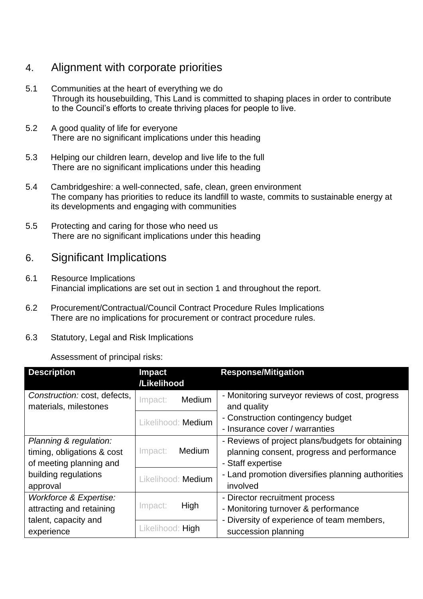# 4. Alignment with corporate priorities

- 5.1 Communities at the heart of everything we do Through its housebuilding, This Land is committed to shaping places in order to contribute to the Council's efforts to create thriving places for people to live.
- 5.2 A good quality of life for everyone There are no significant implications under this heading
- 5.3 Helping our children learn, develop and live life to the full There are no significant implications under this heading
- 5.4 Cambridgeshire: a well-connected, safe, clean, green environment The company has priorities to reduce its landfill to waste, commits to sustainable energy at its developments and engaging with communities
- 5.5 Protecting and caring for those who need us There are no significant implications under this heading

## 6. Significant Implications

- 6.1 Resource Implications Financial implications are set out in section 1 and throughout the report.
- 6.2 Procurement/Contractual/Council Contract Procedure Rules Implications There are no implications for procurement or contract procedure rules.
- 6.3 Statutory, Legal and Risk Implications

#### Assessment of principal risks:

| <b>Description</b>                                    | <b>Impact</b>      | <b>Response/Mitigation</b>                                     |  |
|-------------------------------------------------------|--------------------|----------------------------------------------------------------|--|
|                                                       | /Likelihood        |                                                                |  |
| Construction: cost, defects,<br>materials, milestones | Medium<br>Impact:  | - Monitoring surveyor reviews of cost, progress<br>and quality |  |
|                                                       | Likelihood: Medium | - Construction contingency budget                              |  |
|                                                       |                    | - Insurance cover / warranties                                 |  |
| Planning & regulation:                                |                    | - Reviews of project plans/budgets for obtaining               |  |
| timing, obligations & cost                            | Medium<br>Impact:  | planning consent, progress and performance                     |  |
| of meeting planning and                               |                    | - Staff expertise                                              |  |
| building regulations                                  | Likelihood: Medium | - Land promotion diversifies planning authorities              |  |
| approval                                              |                    | involved                                                       |  |
| Workforce & Expertise:                                |                    | - Director recruitment process                                 |  |
| attracting and retaining                              | High<br>Impact:    | - Monitoring turnover & performance                            |  |
| talent, capacity and                                  | Likelihood: High   | - Diversity of experience of team members,                     |  |
| experience                                            |                    | succession planning                                            |  |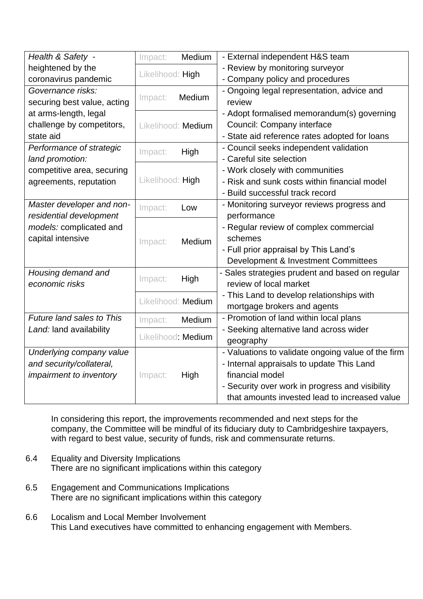| Health & Safety -                | Impact:            | Medium | - External independent H&S team                    |
|----------------------------------|--------------------|--------|----------------------------------------------------|
| heightened by the                |                    |        | - Review by monitoring surveyor                    |
| coronavirus pandemic             | Likelihood: High   |        | - Company policy and procedures                    |
| Governance risks:                | Impact:            | Medium | - Ongoing legal representation, advice and         |
| securing best value, acting      |                    |        | review                                             |
| at arms-length, legal            |                    |        | - Adopt formalised memorandum(s) governing         |
| challenge by competitors,        | Likelihood: Medium |        | Council: Company interface                         |
| state aid                        |                    |        | - State aid reference rates adopted for loans      |
| Performance of strategic         | Impact:            | High   | - Council seeks independent validation             |
| land promotion:                  |                    |        | - Careful site selection                           |
| competitive area, securing       |                    |        | - Work closely with communities                    |
| agreements, reputation           | Likelihood: High   |        | - Risk and sunk costs within financial model       |
|                                  |                    |        | - Build successful track record                    |
| Master developer and non-        | Impact:            | Low    | - Monitoring surveyor reviews progress and         |
| residential development          |                    |        | performance                                        |
| models: complicated and          | Impact:            | Medium | - Regular review of complex commercial             |
| capital intensive                |                    |        | schemes                                            |
|                                  |                    |        | - Full prior appraisal by This Land's              |
|                                  |                    |        | Development & Investment Committees                |
| Housing demand and               |                    |        | - Sales strategies prudent and based on regular    |
| economic risks                   | High<br>Impact:    |        | review of local market                             |
|                                  |                    |        | - This Land to develop relationships with          |
|                                  | Likelihood: Medium |        | mortgage brokers and agents                        |
| <b>Future land sales to This</b> | Impact:            | Medium | - Promotion of land within local plans             |
| Land: land availability          |                    |        | - Seeking alternative land across wider            |
|                                  | Likelihood: Medium |        | geography                                          |
| Underlying company value         | Impact:            | High   | - Valuations to validate ongoing value of the firm |
| and security/collateral,         |                    |        | - Internal appraisals to update This Land          |
| impairment to inventory          |                    |        | financial model                                    |
|                                  |                    |        | - Security over work in progress and visibility    |
|                                  |                    |        | that amounts invested lead to increased value      |

In considering this report, the improvements recommended and next steps for the company, the Committee will be mindful of its fiduciary duty to Cambridgeshire taxpayers, with regard to best value, security of funds, risk and commensurate returns.

- 6.4 Equality and Diversity Implications There are no significant implications within this category
- 6.5 Engagement and Communications Implications There are no significant implications within this category
- 6.6 Localism and Local Member Involvement This Land executives have committed to enhancing engagement with Members.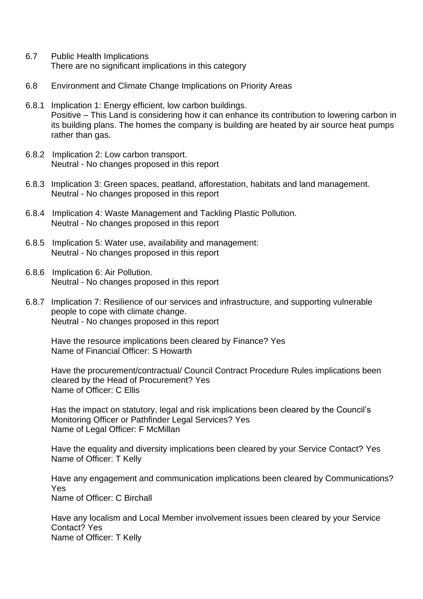- 6.7 Public Health Implications There are no significant implications in this category
- 6.8 Environment and Climate Change Implications on Priority Areas
- 6.8.1 Implication 1: Energy efficient, low carbon buildings. Positive – This Land is considering how it can enhance its contribution to lowering carbon in its building plans. The homes the company is building are heated by air source heat pumps rather than gas.
- 6.8.2 Implication 2: Low carbon transport. Neutral - No changes proposed in this report
- 6.8.3 Implication 3: Green spaces, peatland, afforestation, habitats and land management. Neutral - No changes proposed in this report
- 6.8.4 Implication 4: Waste Management and Tackling Plastic Pollution. Neutral - No changes proposed in this report
- 6.8.5 Implication 5: Water use, availability and management: Neutral - No changes proposed in this report
- 6.8.6 Implication 6: Air Pollution. Neutral - No changes proposed in this report
- 6.8.7 Implication 7: Resilience of our services and infrastructure, and supporting vulnerable people to cope with climate change. Neutral - No changes proposed in this report

Have the resource implications been cleared by Finance? Yes Name of Financial Officer: S Howarth

Have the procurement/contractual/ Council Contract Procedure Rules implications been cleared by the Head of Procurement? Yes Name of Officer: C Ellis

Has the impact on statutory, legal and risk implications been cleared by the Council's Monitoring Officer or Pathfinder Legal Services? Yes Name of Legal Officer: F McMillan

Have the equality and diversity implications been cleared by your Service Contact? Yes Name of Officer: T Kelly

Have any engagement and communication implications been cleared by Communications? Yes Name of Officer: C Birchall

Have any localism and Local Member involvement issues been cleared by your Service Contact? Yes Name of Officer: T Kelly